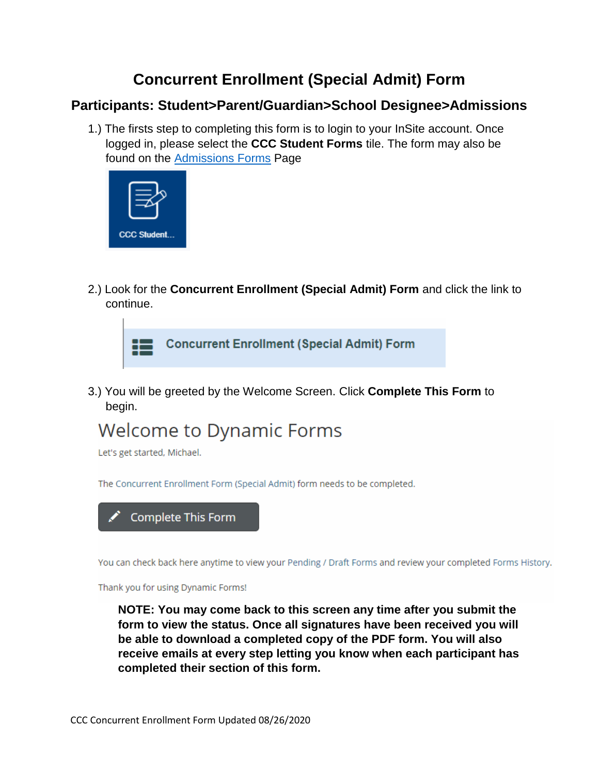## **Concurrent Enrollment (Special Admit) Form**

### **Participants: Student>Parent/Guardian>School Designee>Admissions**

1.) The firsts step to completing this form is to login to your InSite account. Once logged in, please select the **CCC Student Forms** tile. The form may also be found on the [Admissions Forms](https://www.contracosta.edu/admissions/forms) Page



2.) Look for the **Concurrent Enrollment (Special Admit) Form** and click the link to continue.



3.) You will be greeted by the Welcome Screen. Click **Complete This Form** to begin.

# **Welcome to Dynamic Forms**

Let's get started, Michael.

The Concurrent Enrollment Form (Special Admit) form needs to be completed.



You can check back here anytime to view your Pending / Draft Forms and review your completed Forms History.

Thank you for using Dynamic Forms!

**NOTE: You may come back to this screen any time after you submit the form to view the status. Once all signatures have been received you will be able to download a completed copy of the PDF form. You will also receive emails at every step letting you know when each participant has completed their section of this form.**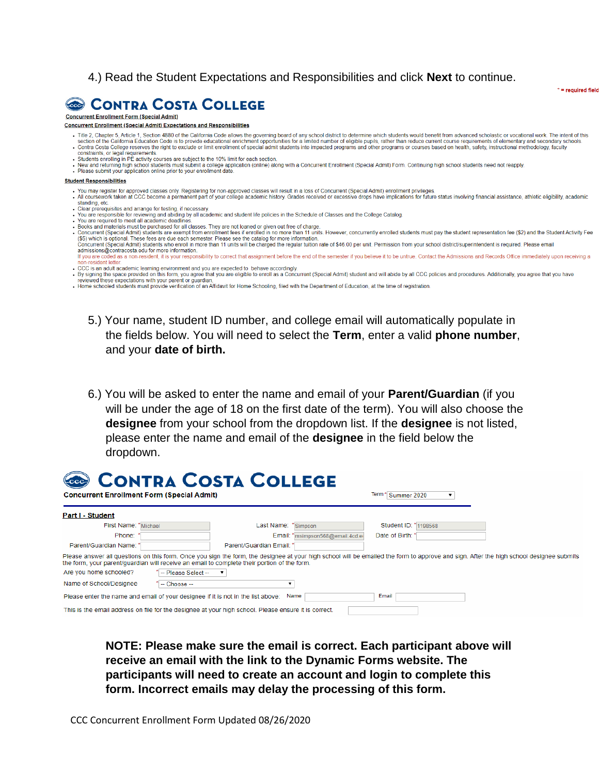### 4.) Read the Student Expectations and Responsibilities and click **Next** to continue.



#### **Concurrent Enrollment Form (Special Admit)**

**Concurrent Enrollment (Special Admit) Expectations and Responsibilities** 

Title 2, Chapter 5, Article 1, Section 4880 of the California Code allows the governing board of any school district to determine which students would benefit from advanced scholastic or vocational work. The intent of this . Contra Code California Education Code is to provide educational enrichment opportunities for a limited number of eligible pupils, rather than reduce current course requirements of elementary and secondary schools.<br>Contra

 $* = required field$ 

- constraints, or legal requirements.
- 
- Consumerably, or logar connections.<br>• Students enrolling in PE activity courses are subject to the 10% limit for each section.<br>• New and returning high school students must submit a college application (online) along with

#### **Student Responsibilities**

- 
- . You may register for approved classes only. Registering for non-approved classes will result in a loss of Concurrent (Special Admit) enrollment privileges.<br>. All coursework taken at CCC become a permanent part of your co Standing, etc.<br>
Standing, etc.<br>
Olear prerequisites and arrange for testing, if necessary.<br>
You are responsible for reviewing and abiding by all academic and student life policies in the Schedule of Classes and the College
- 
- You are required to meet all academic deadlines
- 
- Fooks and materials must be purchased for all classes. They are not loaned or given out free of charge.<br>Concurrent (Special Admit) students are exempt from enrollment fees if enrolled in no more than 11 units. However, con (\$5) which is optional. These fees are due each semester. Please see the catalog for more information. Concurrent (Special Admit) students who enroll in more than 11 units will be charged the regular tuition rate of \$46.00 per unit. Permission from your school district/superintendent is required. Please email<br>admissions@con
- sumission is a continuous ear to rinde immunism.<br>If you are coded as a non-resident, it is your responsibility to correct that assignment before the end of the semester if you believe it to be untrue. Contact the Admission n.resident letter CCC is an adult academic learning environment and you are expected to behave accordingly.
- . By signing the space provided on this form, you agree that you are eligible to enroll as a Concurrent (Special Admit) student and will abide by all CCC policies and procedures. Additionally, you agree that you have
- reviewed these expectations with your parent or guardian,<br>- Home schooled students must provide verification of an Affidavit for Home Schooling, filed with the Department of Education, at the time of registration.
	- 5.) Your name, student ID number, and college email will automatically populate in the fields below. You will need to select the **Term**, enter a valid **phone number**, and your **date of birth.**
	- 6.) You will be asked to enter the name and email of your **Parent/Guardian** (if you will be under the age of 18 on the first date of the term). You will also choose the **designee** from your school from the dropdown list. If the **designee** is not listed, please enter the name and email of the **designee** in the field below the dropdown.

| CONTRA COSTA COLLEGE<br><b>Concurrent Enrollment Form (Special Admit)</b>                            |                                  | Term <sup>*</sup> Summer 2020                                                                                                                                                           |
|------------------------------------------------------------------------------------------------------|----------------------------------|-----------------------------------------------------------------------------------------------------------------------------------------------------------------------------------------|
| Part I - Student                                                                                     |                                  |                                                                                                                                                                                         |
| First Name: * Michael                                                                                | Last Name:<br>*Simpson           | Student ID: 1198568                                                                                                                                                                     |
| Phone:                                                                                               | Email: * msimpson568@email.4cd.e | Date of Birth:                                                                                                                                                                          |
| Parent/Guardian Name: '                                                                              | Parent/Guardian Email: *         |                                                                                                                                                                                         |
| the form, your parent/quardian will receive an email to complete their portion of the form.          |                                  | Please answer all questions on this form. Once you sign the form, the designee at your high school will be emailed the form to approve and sign. After the high school designee submits |
| Are you home schooled?<br>-- Please Select --                                                        |                                  |                                                                                                                                                                                         |
| Name of School/Designee<br>-- Choose --                                                              |                                  |                                                                                                                                                                                         |
| Please enter the name and email of your designee if it is not in the list above:                     | Name                             | Email                                                                                                                                                                                   |
| This is the email address on file for the designee at your high school. Please ensure it is correct. |                                  |                                                                                                                                                                                         |

**NOTE: Please make sure the email is correct. Each participant above will receive an email with the link to the Dynamic Forms website. The participants will need to create an account and login to complete this form. Incorrect emails may delay the processing of this form.**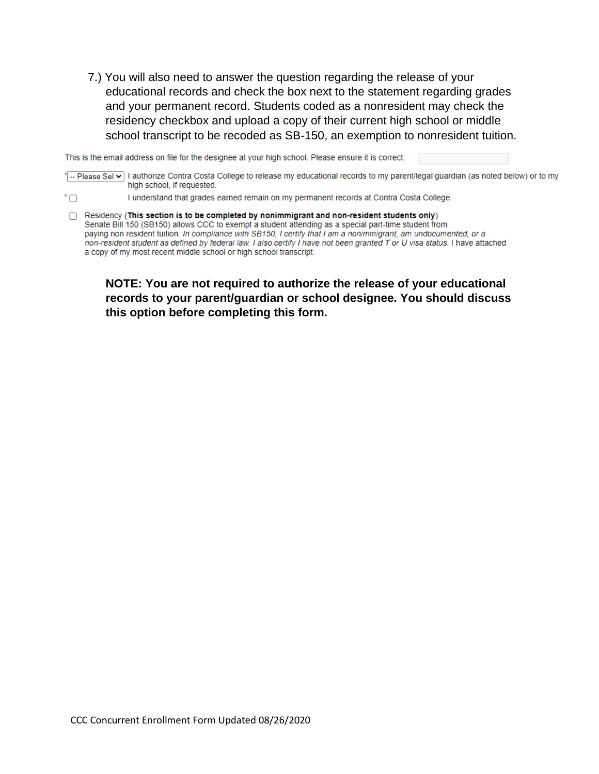7.) You will also need to answer the question regarding the release of your educational records and check the box next to the statement regarding grades and your permanent record. Students coded as a nonresident may check the residency checkbox and upload a copy of their current high school or middle school transcript to be recoded as SB-150, an exemption to nonresident tuition.

This is the email address on file for the designee at your high school. Please ensure it is correct.

\* -- Please Sel v | authorize Contra Costa College to release my educational records to my parent/legal guardian (as noted below) or to my high school, if requested.

 $\overline{\Box}^*$ I understand that grades earned remain on my permanent records at Contra Costa College.

□ Residency (This section is to be completed by nonimmigrant and non-resident students only) Senate Bill 150 (SB150) allows CCC to exempt a student attending as a special part-time student from paying non resident tuition. In compliance with SB150, I certify that I am a nonimmigrant, am undocumented, or a non-resident student as defined by federal law. I also certify I have not been granted T or U visa status. I have attached a copy of my most recent middle school or high school transcript.

**NOTE: You are not required to authorize the release of your educational records to your parent/guardian or school designee. You should discuss this option before completing this form.**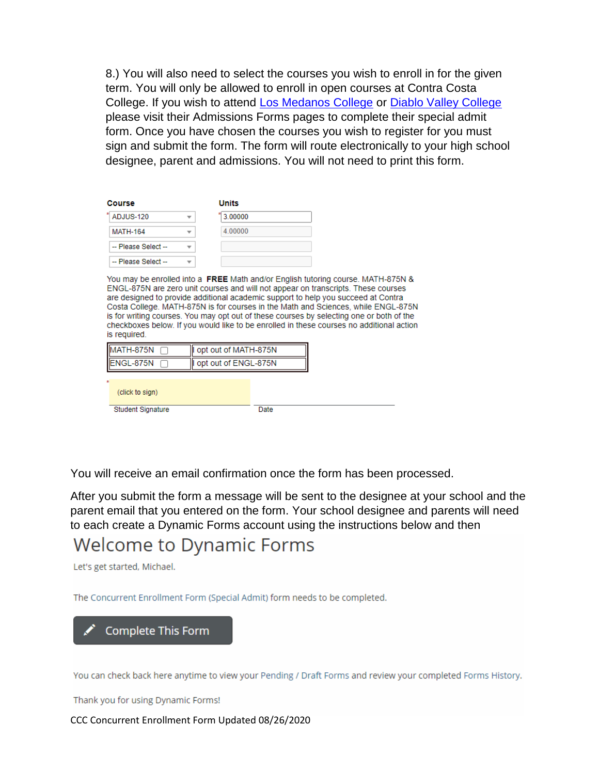8.) You will also need to select the courses you wish to enroll in for the given term. You will only be allowed to enroll in open courses at Contra Costa College. If you wish to attend [Los Medanos College](https://www.losmedanos.edu/index.aspx) or [Diablo Valley College](https://www.dvc.edu/) please visit their Admissions Forms pages to complete their special admit form. Once you have chosen the courses you wish to register for you must sign and submit the form. The form will route electronically to your high school designee, parent and admissions. You will not need to print this form.

| Course              | <b>Units</b> |
|---------------------|--------------|
| 치<br>ADJUS-120      | 3.00000      |
| <b>MATH-164</b>     | 4.00000      |
| -- Please Select -- |              |
| -- Please Select -- |              |

You may be enrolled into a FREE Math and/or English tutoring course. MATH-875N & ENGL-875N are zero unit courses and will not appear on transcripts. These courses are designed to provide additional academic support to help you succeed at Contra Costa College. MATH-875N is for courses in the Math and Sciences, while ENGL-875N is for writing courses. You may opt out of these courses by selecting one or both of the checkboxes below. If you would like to be enrolled in these courses no additional action is required.

| MATH-875N                | opt out of MATH-875N |      |  |
|--------------------------|----------------------|------|--|
| ENGL-875N                | opt out of ENGL-875N |      |  |
| ÷                        |                      |      |  |
| (click to sign)          |                      |      |  |
|                          |                      |      |  |
| <b>Student Signature</b> |                      | Date |  |

You will receive an email confirmation once the form has been processed.

After you submit the form a message will be sent to the designee at your school and the parent email that you entered on the form. Your school designee and parents will need to each create a Dynamic Forms account using the instructions below and then

## **Welcome to Dynamic Forms**

Let's get started, Michael.

The Concurrent Enrollment Form (Special Admit) form needs to be completed.



You can check back here anytime to view your Pending / Draft Forms and review your completed Forms History.

Thank you for using Dynamic Forms!

CCC Concurrent Enrollment Form Updated 08/26/2020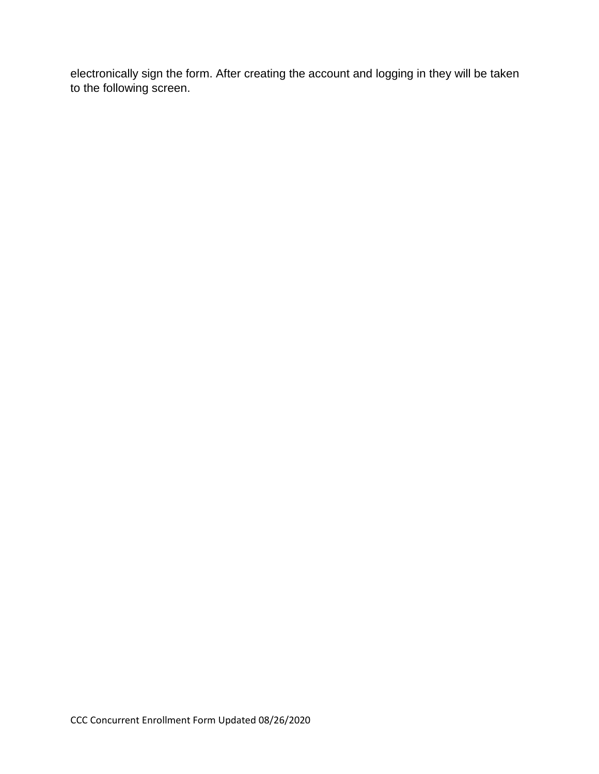electronically sign the form. After creating the account and logging in they will be taken to the following screen.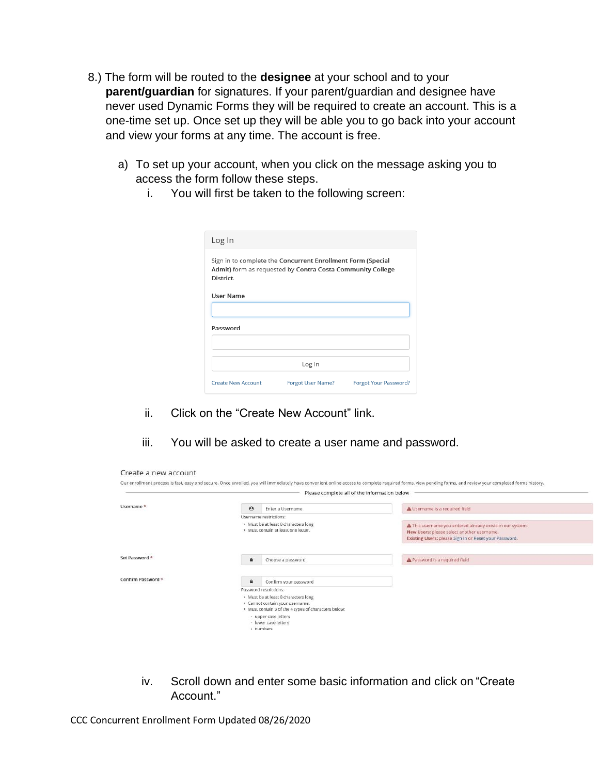- 8.) The form will be routed to the **designee** at your school and to your **parent/guardian** for signatures. If your parent/guardian and designee have never used Dynamic Forms they will be required to create an account. This is a one-time set up. Once set up they will be able you to go back into your account and view your forms at any time. The account is free.
	- a) To set up your account, when you click on the message asking you to access the form follow these steps.
		- i. You will first be taken to the following screen:

| Log In    |                                                                                                                           |  |
|-----------|---------------------------------------------------------------------------------------------------------------------------|--|
| District. | Sign in to complete the Concurrent Enrollment Form (Special<br>Admit) form as requested by Contra Costa Community College |  |
| User Name |                                                                                                                           |  |
| Password  |                                                                                                                           |  |
|           | Log In                                                                                                                    |  |
|           |                                                                                                                           |  |

- ii. Click on the "Create New Account" link.
- iii. You will be asked to create a user name and password.

|                       |                    | Please complete all of the information below                                                                                    |                                                                                                                                                                   |
|-----------------------|--------------------|---------------------------------------------------------------------------------------------------------------------------------|-------------------------------------------------------------------------------------------------------------------------------------------------------------------|
| Username <sup>*</sup> | $\Theta$           | Enter a Username                                                                                                                | A Username is a required field                                                                                                                                    |
|                       |                    | Username restrictions:                                                                                                          |                                                                                                                                                                   |
|                       |                    | · Must be at least 8 characters long<br>· Must contain at least one letter.                                                     | A This username you entered already exists in our system.<br>New Users: please select another username.<br>Existing Users: please Sign In or Reset your Password. |
| Set Password *        | $\hat{\mathbf{H}}$ | Choose a password                                                                                                               | A Password is a required field                                                                                                                                    |
| Confirm Password *    | $\theta$           | Confirm your password                                                                                                           |                                                                                                                                                                   |
|                       |                    | Password restrictions:                                                                                                          |                                                                                                                                                                   |
|                       |                    | · Must be at least 8 characters long<br>· Cannot contain your username.<br>· Must contain 3 of the 4 types of characters below: |                                                                                                                                                                   |
|                       |                    | · upper case letters<br>- lower case letters<br>· numbers                                                                       |                                                                                                                                                                   |

iv. Scroll down and enter some basic information and click on "Create Account."

CCC Concurrent Enrollment Form Updated 08/26/2020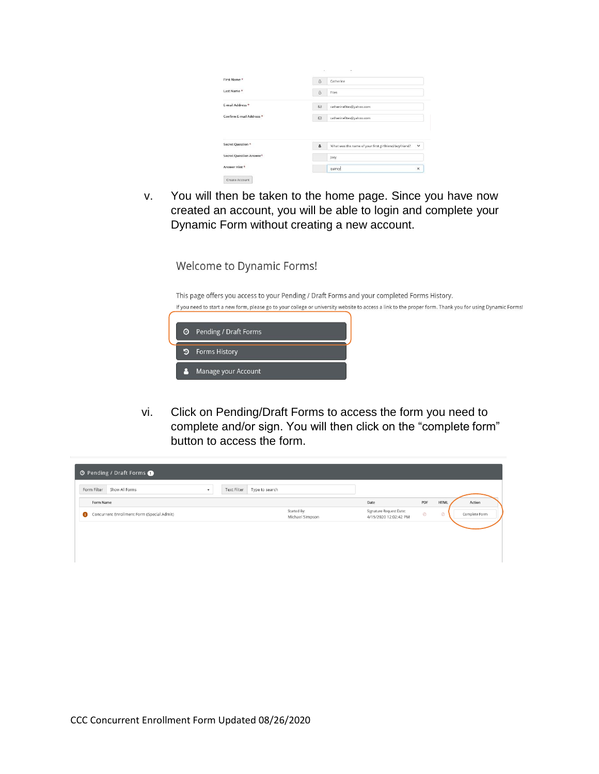| First Name *                                            | $\beta$     | Catherine                                                            |
|---------------------------------------------------------|-------------|----------------------------------------------------------------------|
| Last Name *                                             | 8           | Fites                                                                |
| F-mail Address *                                        | $\boxtimes$ | catherinefites@yahoo.com                                             |
| Confirm E-mail Address *                                |             |                                                                      |
|                                                         | ⊠           | catherinefites@yahoo.com                                             |
|                                                         | a           | What was the name of your first girlfriend/boyfriend?<br>$\check{ }$ |
| Secret Question <sup>*</sup><br>Secret Question Answer* |             | Joey                                                                 |

v. You will then be taken to the home page. Since you have now created an account, you will be able to login and complete your Dynamic Form without creating a new account.

Welcome to Dynamic Forms!

This page offers you access to your Pending / Draft Forms and your completed Forms History. If you need to start a new form, please go to your college or university website to access a link to the proper form. Thank you for using Dynamic Forms!



vi. Click on Pending/Draft Forms to access the form you need to complete and/or sign. You will then click on the "complete form" button to access the form.

| Form Filter<br>Show All Forms              | Text Filter<br>$\check{\phantom{a}}$ | Type to search |                                |                                                  |         |             |               |
|--------------------------------------------|--------------------------------------|----------------|--------------------------------|--------------------------------------------------|---------|-------------|---------------|
| Form Name                                  |                                      |                |                                | Date                                             | PDF     | <b>HTML</b> | Action        |
| Concurrent Enrollment Form (Special Admit) |                                      |                | Started By:<br>Michael Simpson | Signature Request Date:<br>4/15/2020 12:02:42 PM | $\circ$ | $\circ$     | Complete Form |
|                                            |                                      |                |                                |                                                  |         |             |               |
|                                            |                                      |                |                                |                                                  |         |             |               |
|                                            |                                      |                |                                |                                                  |         |             |               |